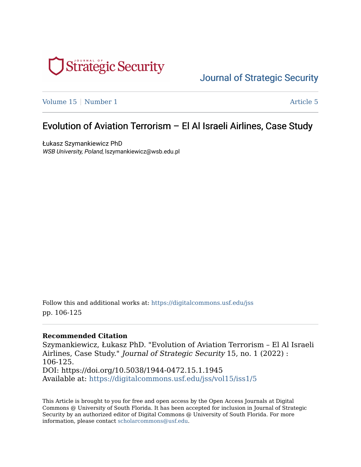

# [Journal of Strategic Security](https://digitalcommons.usf.edu/jss)

[Volume 15](https://digitalcommons.usf.edu/jss/vol15) | [Number 1](https://digitalcommons.usf.edu/jss/vol15/iss1) Article 5

# Evolution of Aviation Terrorism – El Al Israeli Airlines, Case Study

Łukasz Szymankiewicz PhD WSB University, Poland, lszymankiewicz@wsb.edu.pl

Follow this and additional works at: [https://digitalcommons.usf.edu/jss](https://digitalcommons.usf.edu/jss?utm_source=digitalcommons.usf.edu%2Fjss%2Fvol15%2Fiss1%2F5&utm_medium=PDF&utm_campaign=PDFCoverPages) pp. 106-125

#### **Recommended Citation**

Szymankiewicz, Łukasz PhD. "Evolution of Aviation Terrorism – El Al Israeli Airlines, Case Study." Journal of Strategic Security 15, no. 1 (2022) : 106-125. DOI: https://doi.org/10.5038/1944-0472.15.1.1945 Available at: [https://digitalcommons.usf.edu/jss/vol15/iss1/5](https://digitalcommons.usf.edu/jss/vol15/iss1/5?utm_source=digitalcommons.usf.edu%2Fjss%2Fvol15%2Fiss1%2F5&utm_medium=PDF&utm_campaign=PDFCoverPages) 

This Article is brought to you for free and open access by the Open Access Journals at Digital Commons @ University of South Florida. It has been accepted for inclusion in Journal of Strategic Security by an authorized editor of Digital Commons @ University of South Florida. For more information, please contact [scholarcommons@usf.edu.](mailto:scholarcommons@usf.edu)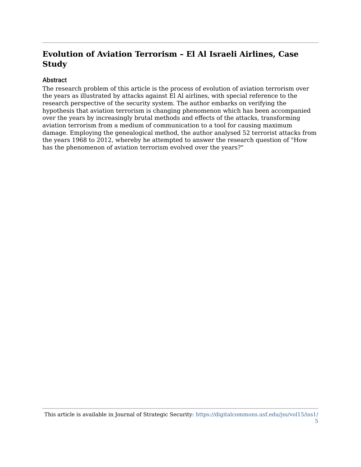# **Evolution of Aviation Terrorism – El Al Israeli Airlines, Case Study**

#### Abstract

The research problem of this article is the process of evolution of aviation terrorism over the years as illustrated by attacks against El Al airlines, with special reference to the research perspective of the security system. The author embarks on verifying the hypothesis that aviation terrorism is changing phenomenon which has been accompanied over the years by increasingly brutal methods and effects of the attacks, transforming aviation terrorism from a medium of communication to a tool for causing maximum damage. Employing the genealogical method, the author analysed 52 terrorist attacks from the years 1968 to 2012, whereby he attempted to answer the research question of "How has the phenomenon of aviation terrorism evolved over the years?"

This article is available in Journal of Strategic Security: [https://digitalcommons.usf.edu/jss/vol15/iss1/](https://digitalcommons.usf.edu/jss/vol15/iss1/5) [5](https://digitalcommons.usf.edu/jss/vol15/iss1/5)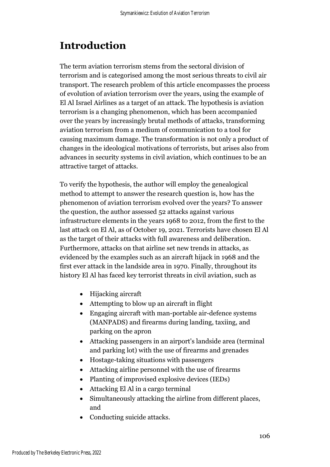# **Introduction**

The term aviation terrorism stems from the sectoral division of terrorism and is categorised among the most serious threats to civil air transport. The research problem of this article encompasses the process of evolution of aviation terrorism over the years, using the example of El Al Israel Airlines as a target of an attack. The hypothesis is aviation terrorism is a changing phenomenon, which has been accompanied over the years by increasingly brutal methods of attacks, transforming aviation terrorism from a medium of communication to a tool for causing maximum damage. The transformation is not only a product of changes in the ideological motivations of terrorists, but arises also from advances in security systems in civil aviation, which continues to be an attractive target of attacks.

To verify the hypothesis, the author will employ the genealogical method to attempt to answer the research question is, how has the phenomenon of aviation terrorism evolved over the years? To answer the question, the author assessed 52 attacks against various infrastructure elements in the years 1968 to 2012, from the first to the last attack on El Al, as of October 19, 2021. Terrorists have chosen El Al as the target of their attacks with full awareness and deliberation. Furthermore, attacks on that airline set new trends in attacks, as evidenced by the examples such as an aircraft hijack in 1968 and the first ever attack in the landside area in 1970. Finally, throughout its history El Al has faced key terrorist threats in civil aviation, such as

- Hijacking aircraft
- Attempting to blow up an aircraft in flight
- Engaging aircraft with man-portable air-defence systems (MANPADS) and firearms during landing, taxiing, and parking on the apron
- Attacking passengers in an airport's landside area (terminal and parking lot) with the use of firearms and grenades
- Hostage-taking situations with passengers
- Attacking airline personnel with the use of firearms
- Planting of improvised explosive devices (IEDs)
- Attacking El Al in a cargo terminal
- Simultaneously attacking the airline from different places, and
- Conducting suicide attacks.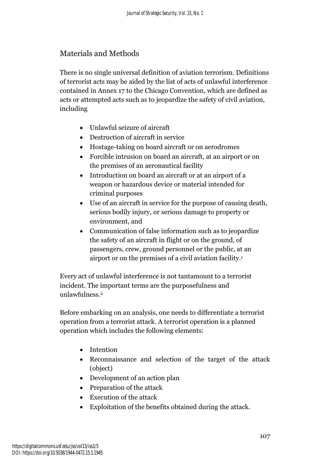## Materials and Methods

There is no single universal definition of aviation terrorism. Definitions of terrorist acts may be aided by the list of acts of unlawful interference contained in Annex 17 to the Chicago Convention, which are defined as acts or attempted acts such as to jeopardize the safety of civil aviation, including

- Unlawful seizure of aircraft
- Destruction of aircraft in service
- Hostage-taking on board aircraft or on aerodromes
- Forcible intrusion on board an aircraft, at an airport or on the premises of an aeronautical facility
- Introduction on board an aircraft or at an airport of a weapon or hazardous device or material intended for criminal purposes
- Use of an aircraft in service for the purpose of causing death, serious bodily injury, or serious damage to property or environment, and
- Communication of false information such as to jeopardize the safety of an aircraft in flight or on the ground, of passengers, crew, ground personnel or the public, at an airport or on the premises of a civil aviation facility. 1

Every act of unlawful interference is not tantamount to a terrorist incident. The important terms are the purposefulness and unlawfulness. 2

Before embarking on an analysis, one needs to differentiate a terrorist operation from a terrorist attack. A terrorist operation is a planned operation which includes the following elements:

- Intention
- Reconnaissance and selection of the target of the attack (object)
- Development of an action plan
- Preparation of the attack
- Execution of the attack
- Exploitation of the benefits obtained during the attack.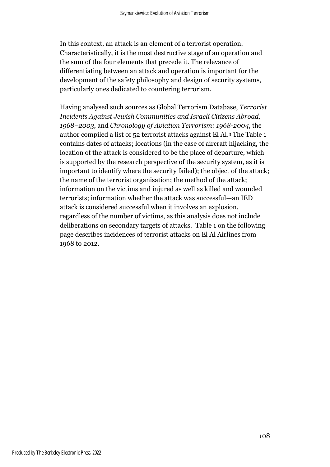In this context, an attack is an element of a terrorist operation. Characteristically, it is the most destructive stage of an operation and the sum of the four elements that precede it. The relevance of differentiating between an attack and operation is important for the development of the safety philosophy and design of security systems, particularly ones dedicated to countering terrorism.

Having analysed such sources as Global Terrorism Database, *Terrorist Incidents Against Jewish Communities and Israeli Citizens Abroad, 1968–2003*, and *Chronology of Aviation Terrorism: 1968-2004*, the author compiled a list of 52 terrorist attacks against El Al. <sup>3</sup> The Table 1 contains dates of attacks; locations (in the case of aircraft hijacking, the location of the attack is considered to be the place of departure, which is supported by the research perspective of the security system, as it is important to identify where the security failed); the object of the attack; the name of the terrorist organisation; the method of the attack; information on the victims and injured as well as killed and wounded terrorists; information whether the attack was successful—an IED attack is considered successful when it involves an explosion, regardless of the number of victims, as this analysis does not include deliberations on secondary targets of attacks. Table 1 on the following page describes incidences of terrorist attacks on El Al Airlines from 1968 to 2012.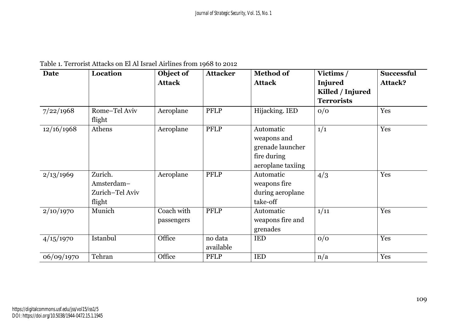|  | Table 1. Terrorist Attacks on El Al Israel Airlines from 1968 to 2012 |  |  |  |  |  |  |  |
|--|-----------------------------------------------------------------------|--|--|--|--|--|--|--|
|--|-----------------------------------------------------------------------|--|--|--|--|--|--|--|

| <b>Date</b> | Location                | Object of     | <b>Attacker</b> | <b>Method of</b>  | Victims /         | <b>Successful</b> |
|-------------|-------------------------|---------------|-----------------|-------------------|-------------------|-------------------|
|             |                         | <b>Attack</b> |                 | <b>Attack</b>     | <b>Injured</b>    | <b>Attack?</b>    |
|             |                         |               |                 |                   | Killed / Injured  |                   |
|             |                         |               |                 |                   | <b>Terrorists</b> |                   |
| 7/22/1968   | Rome-Tel Aviv<br>flight | Aeroplane     | <b>PFLP</b>     | Hijacking. IED    | 0/0               | Yes               |
| 12/16/1968  | Athens                  | Aeroplane     | <b>PFLP</b>     | Automatic         | 1/1               | Yes               |
|             |                         |               |                 | weapons and       |                   |                   |
|             |                         |               |                 | grenade launcher  |                   |                   |
|             |                         |               |                 | fire during       |                   |                   |
|             |                         |               |                 | aeroplane taxiing |                   |                   |
| 2/13/1969   | Zurich.                 | Aeroplane     | <b>PFLP</b>     | Automatic         | 4/3               | Yes               |
|             | Amsterdam-              |               |                 | weapons fire      |                   |                   |
|             | Zurich-Tel Aviv         |               |                 | during aeroplane  |                   |                   |
|             | flight                  |               |                 | take-off          |                   |                   |
| 2/10/1970   | Munich                  | Coach with    | <b>PFLP</b>     | Automatic         | 1/11              | Yes               |
|             |                         | passengers    |                 | weapons fire and  |                   |                   |
|             |                         |               |                 | grenades          |                   |                   |
| 4/15/1970   | Istanbul                | Office        | no data         | <b>IED</b>        | 0/0               | Yes               |
|             |                         |               | available       |                   |                   |                   |
| 06/09/1970  | Tehran                  | Office        | <b>PFLP</b>     | <b>IED</b>        | n/a               | Yes               |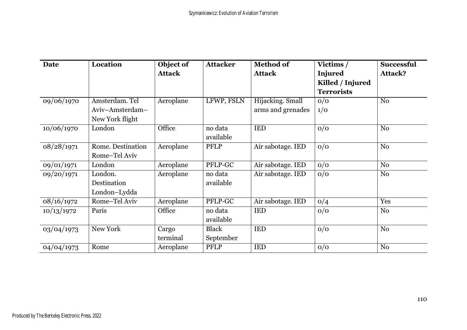| Date       | Location                                             | Object of<br><b>Attack</b> | <b>Attacker</b>           | <b>Method of</b><br><b>Attack</b>     | Victims /<br><b>Injured</b><br>Killed / Injured<br><b>Terrorists</b> | <b>Successful</b><br>Attack? |
|------------|------------------------------------------------------|----------------------------|---------------------------|---------------------------------------|----------------------------------------------------------------------|------------------------------|
| 09/06/1970 | Amsterdam. Tel<br>Aviv-Amsterdam-<br>New York flight | Aeroplane                  | LFWP, FSLN                | Hijacking. Small<br>arms and grenades | 0/0<br>1/0                                                           | N <sub>0</sub>               |
| 10/06/1970 | London                                               | Office                     | no data<br>available      | <b>IED</b>                            | 0/0                                                                  | N <sub>o</sub>               |
| 08/28/1971 | Rome. Destination<br>Rome-Tel Aviv                   | Aeroplane                  | <b>PFLP</b>               | Air sabotage. IED                     | 0/0                                                                  | No                           |
| 09/01/1971 | London                                               | Aeroplane                  | PFLP-GC                   | Air sabotage. IED                     | 0/0                                                                  | N <sub>o</sub>               |
| 09/20/1971 | London.<br>Destination<br>London-Lydda               | Aeroplane                  | no data<br>available      | Air sabotage. IED                     | 0/0                                                                  | N <sub>0</sub>               |
| 08/16/1972 | Rome-Tel Aviv                                        | Aeroplane                  | PFLP-GC                   | Air sabotage. IED                     | 0/4                                                                  | Yes                          |
| 10/13/1972 | Paris                                                | Office                     | no data<br>available      | <b>IED</b>                            | 0/0                                                                  | No                           |
| 03/04/1973 | New York                                             | Cargo<br>terminal          | <b>Black</b><br>September | <b>IED</b>                            | 0/0                                                                  | N <sub>o</sub>               |
| 04/04/1973 | Rome                                                 | Aeroplane                  | <b>PFLP</b>               | <b>IED</b>                            | 0/0                                                                  | $\rm No$                     |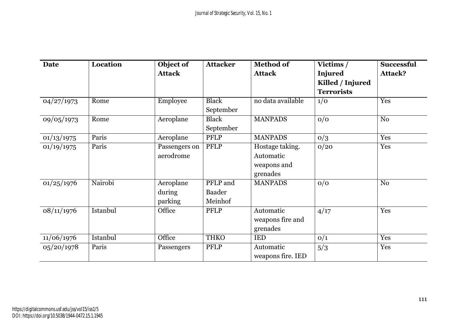| <b>Date</b> | <b>Location</b> | Object of       | <b>Attacker</b> | <b>Method of</b>  | Victims /         | <b>Successful</b> |
|-------------|-----------------|-----------------|-----------------|-------------------|-------------------|-------------------|
|             |                 | <b>Attack</b>   |                 | <b>Attack</b>     | <b>Injured</b>    | <b>Attack?</b>    |
|             |                 |                 |                 |                   | Killed / Injured  |                   |
|             |                 |                 |                 |                   | <b>Terrorists</b> |                   |
| 04/27/1973  | Rome            | <b>Employee</b> | <b>Black</b>    | no data available | 1/0               | Yes               |
|             |                 |                 | September       |                   |                   |                   |
| 09/05/1973  | Rome            | Aeroplane       | <b>Black</b>    | <b>MANPADS</b>    | 0/0               | N <sub>o</sub>    |
|             |                 |                 | September       |                   |                   |                   |
| 01/13/1975  | Paris           | Aeroplane       | <b>PFLP</b>     | <b>MANPADS</b>    | 0/3               | Yes               |
| 01/19/1975  | Paris           | Passengers on   | PFLP            | Hostage taking.   | 0/20              | Yes               |
|             |                 | aerodrome       |                 | Automatic         |                   |                   |
|             |                 |                 |                 | weapons and       |                   |                   |
|             |                 |                 |                 | grenades          |                   |                   |
| 01/25/1976  | Nairobi         | Aeroplane       | PFLP and        | <b>MANPADS</b>    | 0/0               | N <sub>o</sub>    |
|             |                 | during          | <b>Baader</b>   |                   |                   |                   |
|             |                 | parking         | Meinhof         |                   |                   |                   |
| 08/11/1976  | Istanbul        | Office          | <b>PFLP</b>     | Automatic         | 4/17              | Yes               |
|             |                 |                 |                 | weapons fire and  |                   |                   |
|             |                 |                 |                 | grenades          |                   |                   |
| 11/06/1976  | Istanbul        | Office          | <b>THKO</b>     | IED               | O/1               | Yes               |
| 05/20/1978  | Paris           | Passengers      | PFLP            | Automatic         | 5/3               | Yes               |
|             |                 |                 |                 | weapons fire. IED |                   |                   |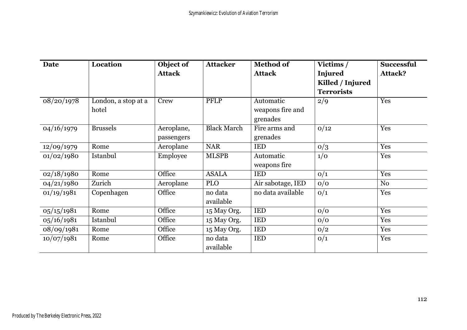| Date       | Location                     | Object of<br><b>Attack</b> | <b>Attacker</b>      | <b>Method of</b><br><b>Attack</b>         | Victims /<br><b>Injured</b><br>Killed / Injured<br><b>Terrorists</b> | <b>Successful</b><br><b>Attack?</b> |
|------------|------------------------------|----------------------------|----------------------|-------------------------------------------|----------------------------------------------------------------------|-------------------------------------|
| 08/20/1978 | London, a stop at a<br>hotel | Crew                       | PFLP                 | Automatic<br>weapons fire and<br>grenades | 2/9                                                                  | Yes                                 |
| 04/16/1979 | <b>Brussels</b>              | Aeroplane,<br>passengers   | <b>Black March</b>   | Fire arms and<br>grenades                 | 0/12                                                                 | Yes                                 |
| 12/09/1979 | Rome                         | Aeroplane                  | <b>NAR</b>           | <b>IED</b>                                | 0/3                                                                  | Yes                                 |
| 01/02/1980 | Istanbul                     | Employee                   | <b>MLSPB</b>         | Automatic<br>weapons fire                 | 1/0                                                                  | Yes                                 |
| 02/18/1980 | Rome                         | Office                     | <b>ASALA</b>         | <b>IED</b>                                | O/1                                                                  | Yes                                 |
| 04/21/1980 | Zurich                       | Aeroplane                  | <b>PLO</b>           | Air sabotage, IED                         | 0/0                                                                  | N <sub>0</sub>                      |
| 01/19/1981 | Copenhagen                   | Office                     | no data<br>available | no data available                         | O/1                                                                  | Yes                                 |
| 05/15/1981 | Rome                         | Office                     | 15 May Org.          | <b>IED</b>                                | 0/0                                                                  | Yes                                 |
| 05/16/1981 | Istanbul                     | Office                     | 15 May Org.          | <b>IED</b>                                | 0/0                                                                  | Yes                                 |
| 08/09/1981 | Rome                         | Office                     | 15 May Org.          | <b>IED</b>                                | 0/2                                                                  | Yes                                 |
| 10/07/1981 | Rome                         | Office                     | no data<br>available | IED                                       | O/1                                                                  | Yes                                 |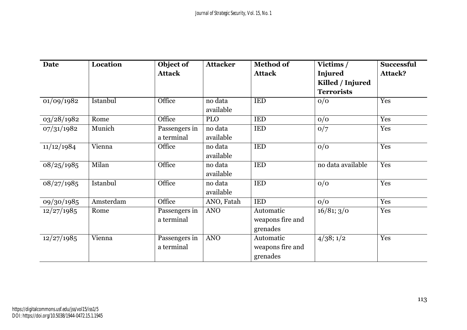| Date       | Location  | Object of     | <b>Attacker</b> | <b>Method of</b> | Victims /         | <b>Successful</b> |
|------------|-----------|---------------|-----------------|------------------|-------------------|-------------------|
|            |           | <b>Attack</b> |                 | <b>Attack</b>    | Injured           | <b>Attack?</b>    |
|            |           |               |                 |                  | Killed / Injured  |                   |
|            |           |               |                 |                  | <b>Terrorists</b> |                   |
| 01/09/1982 | Istanbul  | Office        | no data         | <b>IED</b>       | O/O               | Yes               |
|            |           |               | available       |                  |                   |                   |
| 03/28/1982 | Rome      | Office        | <b>PLO</b>      | <b>IED</b>       | 0/0               | Yes               |
| 07/31/1982 | Munich    | Passengers in | no data         | <b>IED</b>       | O/7               | Yes               |
|            |           | a terminal    | available       |                  |                   |                   |
| 11/12/1984 | Vienna    | Office        | no data         | <b>IED</b>       | 0/0               | Yes               |
|            |           |               | available       |                  |                   |                   |
| 08/25/1985 | Milan     | Office        | no data         | <b>IED</b>       | no data available | Yes               |
|            |           |               | available       |                  |                   |                   |
| 08/27/1985 | Istanbul  | Office        | no data         | <b>IED</b>       | 0/0               | Yes               |
|            |           |               | available       |                  |                   |                   |
| 09/30/1985 | Amsterdam | Office        | ANO, Fatah      | <b>IED</b>       | 0/0               | Yes               |
| 12/27/1985 | Rome      | Passengers in | <b>ANO</b>      | Automatic        | 16/81; 3/0        | Yes               |
|            |           | a terminal    |                 | weapons fire and |                   |                   |
|            |           |               |                 | grenades         |                   |                   |
| 12/27/1985 | Vienna    | Passengers in | <b>ANO</b>      | Automatic        | 4/38; 1/2         | Yes               |
|            |           | a terminal    |                 | weapons fire and |                   |                   |
|            |           |               |                 | grenades         |                   |                   |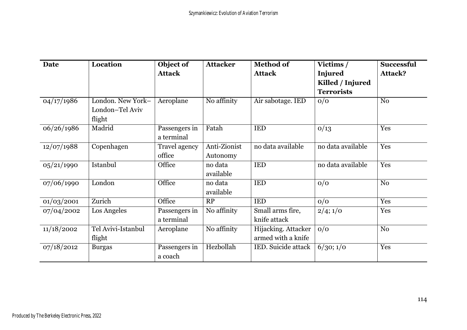| <b>Date</b> | <b>Location</b>                                | Object of<br><b>Attack</b>  | <b>Attacker</b>          | <b>Method of</b><br><b>Attack</b>         | Victims /<br><b>Injured</b>           | <b>Successful</b><br>Attack? |
|-------------|------------------------------------------------|-----------------------------|--------------------------|-------------------------------------------|---------------------------------------|------------------------------|
|             |                                                |                             |                          |                                           | Killed / Injured<br><b>Terrorists</b> |                              |
| 04/17/1986  | London. New York-<br>London-Tel Aviv<br>flight | Aeroplane                   | No affinity              | Air sabotage. IED                         | O/O                                   | N <sub>0</sub>               |
| 06/26/1986  | Madrid                                         | Passengers in<br>a terminal | Fatah                    | <b>IED</b>                                | O/13                                  | Yes                          |
| 12/07/1988  | Copenhagen                                     | Travel agency<br>office     | Anti-Zionist<br>Autonomy | no data available                         | no data available                     | Yes                          |
| 05/21/1990  | Istanbul                                       | Office                      | no data<br>available     | <b>IED</b>                                | no data available                     | Yes                          |
| 07/06/1990  | London                                         | Office                      | no data<br>available     | <b>IED</b>                                | 0/0                                   | N <sub>o</sub>               |
| 01/03/2001  | Zurich                                         | Office                      | RP                       | <b>IED</b>                                | 0/0                                   | Yes                          |
| 07/04/2002  | Los Angeles                                    | Passengers in<br>a terminal | No affinity              | Small arms fire,<br>knife attack          | 2/4;1/0                               | Yes                          |
| 11/18/2002  | Tel Avivi-Istanbul<br>flight                   | Aeroplane                   | No affinity              | Hijacking. Attacker<br>armed with a knife | 0/0                                   | N <sub>0</sub>               |
| 07/18/2012  | <b>Burgas</b>                                  | Passengers in<br>a coach    | Hezbollah                | <b>IED.</b> Suicide attack                | 6/30; 1/0                             | Yes                          |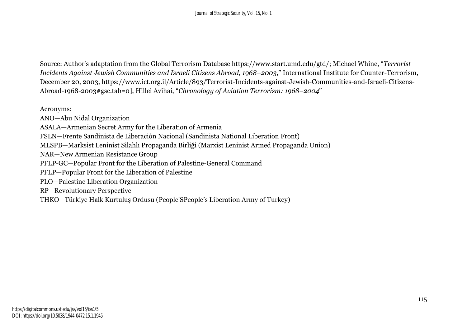Source: Author's adaptation from the Global Terrorism Database https://www.start.umd.edu/gtd/; Michael Whine, "*Terrorist Incidents Against Jewish Communities and Israeli Citizens Abroad, 1968–2003*," International Institute for Counter-Terrorism, December 20, 2003, https://www.ict.org.il/Article/893/Terrorist-Incidents-against-Jewish-Communities-and-Israeli-Citizens-Abroad-1968-2003#gsc.tab=0], Hillei Avihai, "*Chronology of Aviation Terrorism: 1968–2004*"

Acronyms:

ANO—Abu Nidal Organization

ASALA—Armenian Secret Army for the Liberation of Armenia

FSLN—Frente Sandinista de Liberación Nacional (Sandinista National Liberation Front)

MLSPB—Marksist Leninist Silahlı Propaganda Birliği (Marxist Leninist Armed Propaganda Union)

NAR—New Armenian Resistance Group

PFLP-GC—Popular Front for the Liberation of Palestine-General Command

PFLP—Popular Front for the Liberation of Palestine

PLO—Palestine Liberation Organization

RP—Revolutionary Perspective

THKO—Türkiye Halk Kurtuluş Ordusu (People'SPeople's Liberation Army of Turkey)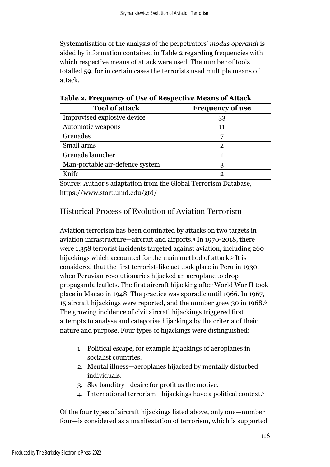Systematisation of the analysis of the perpetrators' *modus operandi* is aided by information contained in Table 2 regarding frequencies with which respective means of attack were used. The number of tools totalled 59, for in certain cases the terrorists used multiple means of attack.

| <b>Tool of attack</b>           | <b>Frequency of use</b> |
|---------------------------------|-------------------------|
| Improvised explosive device     | 33                      |
| Automatic weapons               |                         |
| Grenades                        |                         |
| Small arms                      | 2                       |
| Grenade launcher                |                         |
| Man-portable air-defence system |                         |
| Knife                           |                         |

**Table 2. Frequency of Use of Respective Means of Attack**

Source: Author's adaptation from the Global Terrorism Database, https://www.start.umd.edu/gtd/

#### Historical Process of Evolution of Aviation Terrorism

Aviation terrorism has been dominated by attacks on two targets in aviation infrastructure—aircraft and airports. <sup>4</sup> In 1970-2018, there were 1,358 terrorist incidents targeted against aviation, including 260 hijackings which accounted for the main method of attack.<sup>5</sup> It is considered that the first terrorist-like act took place in Peru in 1930, when Peruvian revolutionaries hijacked an aeroplane to drop propaganda leaflets. The first aircraft hijacking after World War II took place in Macao in 1948. The practice was sporadic until 1966. In 1967, 15 aircraft hijackings were reported, and the number grew 30 in 1968. 6 The growing incidence of civil aircraft hijackings triggered first attempts to analyse and categorise hijackings by the criteria of their nature and purpose. Four types of hijackings were distinguished:

- 1. Political escape, for example hijackings of aeroplanes in socialist countries.
- 2. Mental illness—aeroplanes hijacked by mentally disturbed individuals.
- 3. Sky banditry—desire for profit as the motive.
- 4. International terrorism—hijackings have a political context. 7

Of the four types of aircraft hijackings listed above, only one—number four—is considered as a manifestation of terrorism, which is supported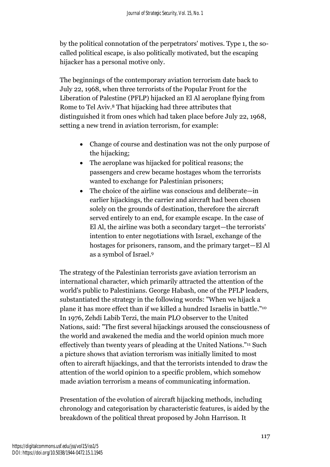by the political connotation of the perpetrators' motives. Type 1, the socalled political escape, is also politically motivated, but the escaping hijacker has a personal motive only.

The beginnings of the contemporary aviation terrorism date back to July 22, 1968, when three terrorists of the Popular Front for the Liberation of Palestine (PFLP) hijacked an El Al aeroplane flying from Rome to Tel Aviv. <sup>8</sup> That hijacking had three attributes that distinguished it from ones which had taken place before July 22, 1968, setting a new trend in aviation terrorism, for example:

- Change of course and destination was not the only purpose of the hijacking;
- The aeroplane was hijacked for political reasons; the passengers and crew became hostages whom the terrorists wanted to exchange for Palestinian prisoners;
- The choice of the airline was conscious and deliberate—in earlier hijackings, the carrier and aircraft had been chosen solely on the grounds of destination, therefore the aircraft served entirely to an end, for example escape. In the case of El Al, the airline was both a secondary target—the terrorists' intention to enter negotiations with Israel, exchange of the hostages for prisoners, ransom, and the primary target—El Al as a symbol of Israel. 9

The strategy of the Palestinian terrorists gave aviation terrorism an international character, which primarily attracted the attention of the world's public to Palestinians. George Habash, one of the PFLP leaders, substantiated the strategy in the following words: "When we hijack a plane it has more effect than if we killed a hundred Israelis in battle." 10 In 1976, Zehdi Labib Terzi, the main PLO observer to the United Nations, said: "The first several hijackings aroused the consciousness of the world and awakened the media and the world opinion much more effectively than twenty years of pleading at the United Nations." <sup>11</sup> Such a picture shows that aviation terrorism was initially limited to most often to aircraft hijackings, and that the terrorists intended to draw the attention of the world opinion to a specific problem, which somehow made aviation terrorism a means of communicating information.

Presentation of the evolution of aircraft hijacking methods, including chronology and categorisation by characteristic features, is aided by the breakdown of the political threat proposed by John Harrison. It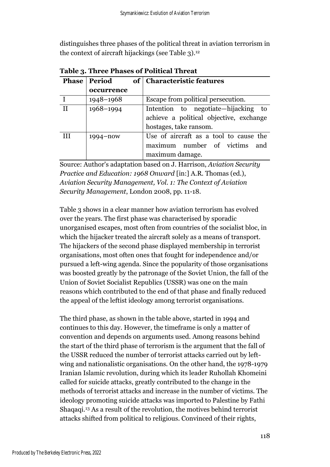distinguishes three phases of the political threat in aviation terrorism in the context of aircraft hijackings (see Table 3). 12

|    | <b>Phase   Period</b> | of   Characteristic features                                                                             |
|----|-----------------------|----------------------------------------------------------------------------------------------------------|
|    | occurrence            |                                                                                                          |
|    | 1948-1968             | Escape from political persecution.                                                                       |
| II | 1968-1994             | Intention to negotiate—hijacking to<br>achieve a political objective, exchange<br>hostages, take ransom. |
| Ш  | 1994–now              | Use of aircraft as a tool to cause the<br>maximum number of victims<br>and<br>maximum damage.            |

**Table 3. Three Phases of Political Threat** 

Source: Author's adaptation based on J. Harrison, *Aviation Security Practice and Education: 1968 Onward* [in:] A.R. Thomas (ed.), *Aviation Security Management, Vol. 1: The Context of Aviation Security Management*, London 2008, pp. 11-18.

Table 3 shows in a clear manner how aviation terrorism has evolved over the years. The first phase was characterised by sporadic unorganised escapes, most often from countries of the socialist bloc, in which the hijacker treated the aircraft solely as a means of transport. The hijackers of the second phase displayed membership in terrorist organisations, most often ones that fought for independence and/or pursued a left-wing agenda. Since the popularity of those organisations was boosted greatly by the patronage of the Soviet Union, the fall of the Union of Soviet Socialist Republics (USSR) was one on the main reasons which contributed to the end of that phase and finally reduced the appeal of the leftist ideology among terrorist organisations.

The third phase, as shown in the table above, started in 1994 and continues to this day. However, the timeframe is only a matter of convention and depends on arguments used. Among reasons behind the start of the third phase of terrorism is the argument that the fall of the USSR reduced the number of terrorist attacks carried out by leftwing and nationalistic organisations. On the other hand, the 1978-1979 Iranian Islamic revolution, during which its leader Ruhollah Khomeini called for suicide attacks, greatly contributed to the change in the methods of terrorist attacks and increase in the number of victims. The ideology promoting suicide attacks was imported to Palestine by Fathi Shaqaqi. <sup>13</sup> As a result of the revolution, the motives behind terrorist attacks shifted from political to religious. Convinced of their rights,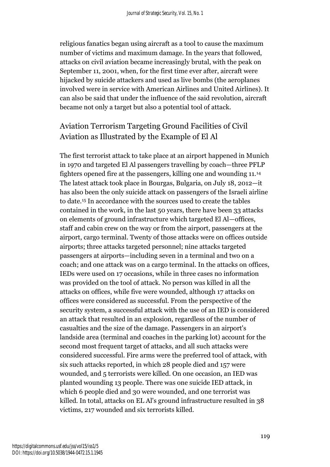religious fanatics began using aircraft as a tool to cause the maximum number of victims and maximum damage. In the years that followed, attacks on civil aviation became increasingly brutal, with the peak on September 11, 2001, when, for the first time ever after, aircraft were hijacked by suicide attackers and used as live bombs (the aeroplanes involved were in service with American Airlines and United Airlines). It can also be said that under the influence of the said revolution, aircraft became not only a target but also a potential tool of attack.

# Aviation Terrorism Targeting Ground Facilities of Civil Aviation as Illustrated by the Example of El Al

The first terrorist attack to take place at an airport happened in Munich in 1970 and targeted El Al passengers travelling by coach—three PFLP fighters opened fire at the passengers, killing one and wounding 11.<sup>14</sup> The latest attack took place in Bourgas, Bulgaria, on July 18, 2012—it has also been the only suicide attack on passengers of the Israeli airline to date.<sup>15</sup> In accordance with the sources used to create the tables contained in the work, in the last 50 years, there have been 33 attacks on elements of ground infrastructure which targeted El Al—offices, staff and cabin crew on the way or from the airport, passengers at the airport, cargo terminal. Twenty of those attacks were on offices outside airports; three attacks targeted personnel; nine attacks targeted passengers at airports—including seven in a terminal and two on a coach; and one attack was on a cargo terminal. In the attacks on offices, IEDs were used on 17 occasions, while in three cases no information was provided on the tool of attack. No person was killed in all the attacks on offices, while five were wounded, although 17 attacks on offices were considered as successful. From the perspective of the security system, a successful attack with the use of an IED is considered an attack that resulted in an explosion, regardless of the number of casualties and the size of the damage. Passengers in an airport's landside area (terminal and coaches in the parking lot) account for the second most frequent target of attacks, and all such attacks were considered successful. Fire arms were the preferred tool of attack, with six such attacks reported, in which 28 people died and 157 were wounded, and 5 terrorists were killed. On one occasion, an IED was planted wounding 13 people. There was one suicide IED attack, in which 6 people died and 30 were wounded, and one terrorist was killed. In total, attacks on EL Al's ground infrastructure resulted in 38 victims, 217 wounded and six terrorists killed.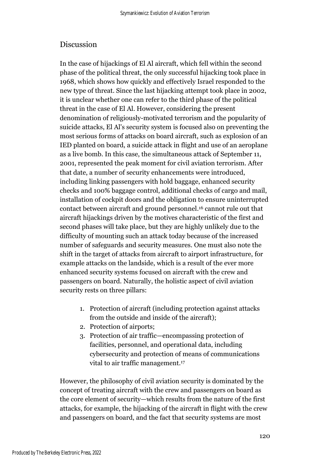#### Discussion

In the case of hijackings of El Al aircraft, which fell within the second phase of the political threat, the only successful hijacking took place in 1968, which shows how quickly and effectively Israel responded to the new type of threat. Since the last hijacking attempt took place in 2002, it is unclear whether one can refer to the third phase of the political threat in the case of El Al. However, considering the present denomination of religiously-motivated terrorism and the popularity of suicide attacks, El Al's security system is focused also on preventing the most serious forms of attacks on board aircraft, such as explosion of an IED planted on board, a suicide attack in flight and use of an aeroplane as a live bomb. In this case, the simultaneous attack of September 11, 2001, represented the peak moment for civil aviation terrorism. After that date, a number of security enhancements were introduced, including linking passengers with hold baggage, enhanced security checks and 100% baggage control, additional checks of cargo and mail, installation of cockpit doors and the obligation to ensure uninterrupted contact between aircraft and ground personnel. <sup>16</sup> cannot rule out that aircraft hijackings driven by the motives characteristic of the first and second phases will take place, but they are highly unlikely due to the difficulty of mounting such an attack today because of the increased number of safeguards and security measures. One must also note the shift in the target of attacks from aircraft to airport infrastructure, for example attacks on the landside, which is a result of the ever more enhanced security systems focused on aircraft with the crew and passengers on board. Naturally, the holistic aspect of civil aviation security rests on three pillars:

- 1. Protection of aircraft (including protection against attacks from the outside and inside of the aircraft);
- 2. Protection of airports;
- 3. Protection of air traffic—encompassing protection of facilities, personnel, and operational data, including cybersecurity and protection of means of communications vital to air traffic management. 17

However, the philosophy of civil aviation security is dominated by the concept of treating aircraft with the crew and passengers on board as the core element of security—which results from the nature of the first attacks, for example, the hijacking of the aircraft in flight with the crew and passengers on board, and the fact that security systems are most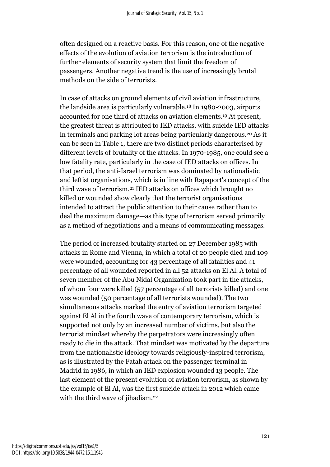often designed on a reactive basis. For this reason, one of the negative effects of the evolution of aviation terrorism is the introduction of further elements of security system that limit the freedom of passengers. Another negative trend is the use of increasingly brutal methods on the side of terrorists.

In case of attacks on ground elements of civil aviation infrastructure, the landside area is particularly vulnerable. <sup>18</sup> In 1980-2003, airports accounted for one third of attacks on aviation elements. <sup>19</sup> At present, the greatest threat is attributed to IED attacks, with suicide IED attacks in terminals and parking lot areas being particularly dangerous.<sup>20</sup> As it can be seen in Table 1, there are two distinct periods characterised by different levels of brutality of the attacks. In 1970-1985, one could see a low fatality rate, particularly in the case of IED attacks on offices. In that period, the anti-Israel terrorism was dominated by nationalistic and leftist organisations, which is in line with Rapaport's concept of the third wave of terrorism.<sup>21</sup> IED attacks on offices which brought no killed or wounded show clearly that the terrorist organisations intended to attract the public attention to their cause rather than to deal the maximum damage—as this type of terrorism served primarily as a method of negotiations and a means of communicating messages.

The period of increased brutality started on 27 December 1985 with attacks in Rome and Vienna, in which a total of 20 people died and 109 were wounded, accounting for 43 percentage of all fatalities and 41 percentage of all wounded reported in all 52 attacks on El Al. A total of seven member of the Abu Nidal Organization took part in the attacks, of whom four were killed (57 percentage of all terrorists killed) and one was wounded (50 percentage of all terrorists wounded). The two simultaneous attacks marked the entry of aviation terrorism targeted against El Al in the fourth wave of contemporary terrorism, which is supported not only by an increased number of victims, but also the terrorist mindset whereby the perpetrators were increasingly often ready to die in the attack. That mindset was motivated by the departure from the nationalistic ideology towards religiously-inspired terrorism, as is illustrated by the Fatah attack on the passenger terminal in Madrid in 1986, in which an IED explosion wounded 13 people. The last element of the present evolution of aviation terrorism, as shown by the example of El Al, was the first suicide attack in 2012 which came with the third wave of jihadism.<sup>22</sup>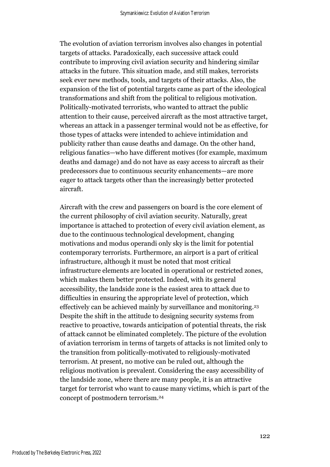The evolution of aviation terrorism involves also changes in potential targets of attacks. Paradoxically, each successive attack could contribute to improving civil aviation security and hindering similar attacks in the future. This situation made, and still makes, terrorists seek ever new methods, tools, and targets of their attacks. Also, the expansion of the list of potential targets came as part of the ideological transformations and shift from the political to religious motivation. Politically-motivated terrorists, who wanted to attract the public attention to their cause, perceived aircraft as the most attractive target, whereas an attack in a passenger terminal would not be as effective, for those types of attacks were intended to achieve intimidation and publicity rather than cause deaths and damage. On the other hand, religious fanatics—who have different motives (for example, maximum deaths and damage) and do not have as easy access to aircraft as their predecessors due to continuous security enhancements—are more eager to attack targets other than the increasingly better protected aircraft.

Aircraft with the crew and passengers on board is the core element of the current philosophy of civil aviation security. Naturally, great importance is attached to protection of every civil aviation element, as due to the continuous technological development, changing motivations and modus operandi only sky is the limit for potential contemporary terrorists. Furthermore, an airport is a part of critical infrastructure, although it must be noted that most critical infrastructure elements are located in operational or restricted zones, which makes them better protected. Indeed, with its general accessibility, the landside zone is the easiest area to attack due to difficulties in ensuring the appropriate level of protection, which effectively can be achieved mainly by surveillance and monitoring. 23 Despite the shift in the attitude to designing security systems from reactive to proactive, towards anticipation of potential threats, the risk of attack cannot be eliminated completely. The picture of the evolution of aviation terrorism in terms of targets of attacks is not limited only to the transition from politically-motivated to religiously-motivated terrorism. At present, no motive can be ruled out, although the religious motivation is prevalent. Considering the easy accessibility of the landside zone, where there are many people, it is an attractive target for terrorist who want to cause many victims, which is part of the concept of postmodern terrorism.<sup>24</sup>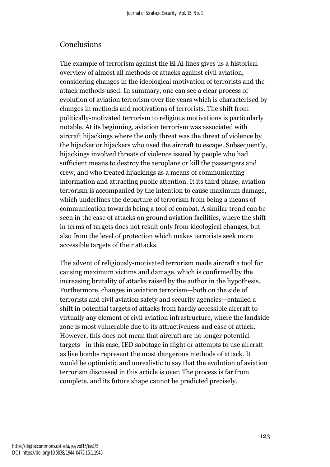### Conclusions

The example of terrorism against the El Al lines gives us a historical overview of almost all methods of attacks against civil aviation, considering changes in the ideological motivation of terrorists and the attack methods used. In summary, one can see a clear process of evolution of aviation terrorism over the years which is characterised by changes in methods and motivations of terrorists. The shift from politically-motivated terrorism to religious motivations is particularly notable. At its beginning, aviation terrorism was associated with aircraft hijackings where the only threat was the threat of violence by the hijacker or hijackers who used the aircraft to escape. Subsequently, hijackings involved threats of violence issued by people who had sufficient means to destroy the aeroplane or kill the passengers and crew, and who treated hijackings as a means of communicating information and attracting public attention. It its third phase, aviation terrorism is accompanied by the intention to cause maximum damage, which underlines the departure of terrorism from being a means of communication towards being a tool of combat. A similar trend can be seen in the case of attacks on ground aviation facilities, where the shift in terms of targets does not result only from ideological changes, but also from the level of protection which makes terrorists seek more accessible targets of their attacks.

The advent of religiously-motivated terrorism made aircraft a tool for causing maximum victims and damage, which is confirmed by the increasing brutality of attacks raised by the author in the hypothesis. Furthermore, changes in aviation terrorism—both on the side of terrorists and civil aviation safety and security agencies—entailed a shift in potential targets of attacks from hardly accessible aircraft to virtually any element of civil aviation infrastructure, where the landside zone is most vulnerable due to its attractiveness and ease of attack. However, this does not mean that aircraft are no longer potential targets—in this case, IED sabotage in flight or attempts to use aircraft as live bombs represent the most dangerous methods of attack. It would be optimistic and unrealistic to say that the evolution of aviation terrorism discussed in this article is over. The process is far from complete, and its future shape cannot be predicted precisely.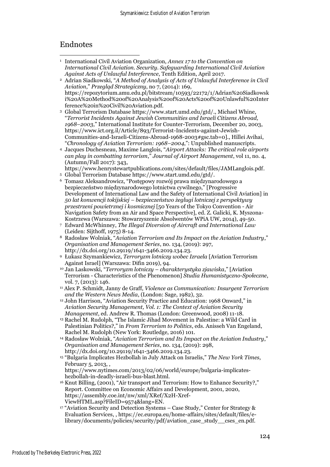### Endnotes

- <sup>1</sup> International Civil Aviation Organization, *Annex 17 to the Convention on International Civil Aviation. Security. Safeguarding International Civil Aviation Against Acts of Unlawful Interference*, Tenth Edition, April 2017.
- <sup>2</sup> Adrian Siadkowski, "*A Method of Analysis of Acts of Unlawful Interference in Civil Aviation*," *Przegląd Strategiczny*, no 7, (2014): 169, https://repozytorium.amu.edu.pl/bitstream/10593/22172/1/Adrian%20Siadkowsk i%20A%20Method%20of%20Analysis%20of%20Acts%20of%20Unlawful%20Inter ference%20in%20Civil%20Aviation.pdf.
- <sup>3</sup> Global Terrorism Database https://www.start.umd.edu/gtd/., Michael Whine, "*Terrorist Incidents Against Jewish Communities and Israeli Citizens Abroad, 1968–2003*," International Institute for Counter-Terrorism, December 20, 2003, https://www.ict.org.il/Article/893/Terrorist-Incidents-against-Jewish-Communities-and-Israeli-Citizens-Abroad-1968-2003#gsc.tab=0]., Hillei Avihai, "*Chronology of Aviation Terrorism: 1968–2004*,": Unpublished manuscripts.
- <sup>4</sup> Jacques Duchesneau, Maxime Langlois, "*Airport Attacks: The critical role airports can play in combatting terrorism*," *Journal of Airport Management*, vol 11, no. 4, (Autumn/Fall 2017): 343,
- https://www.henrystewartpublications.com/sites/default/files/JAMLanglois.pdf.
- <sup>5</sup> Global Terrorism Database https://www.start.umd.edu/gtd/.
- <sup>6</sup> Tomasz Aleksandrowicz, "Postępowy rozwój prawa międzynarodowego a bezpieczeństwo międzynarodowego lotnictwa cywilnego," [Progressive Development of International Law and the Safety of International Civil Aviation] in *50 lat konwencji tokijskiej – bezpieczeństwo żeglugi lotniczej z perspektywy przestrzeni powietrznej i kosmicznej* [50 Years of the Tokyo Convention - Air Navigation Safety from an Air and Space Perspective], ed. Z. Galicki, K. Myszona-Kostrzewa (Warszawa: Stowarzyszenie Absolwentów WPiA UW, 2014), 49-50.
- <sup>7</sup> Edward McWhinney, *The Illegal Diversion of Aircraft and International Law* (Leiden: Sijthoff, 1975) 8-14.
- <sup>8</sup> Radosław Wolniak, "*Aviation Terrorism and Its Impact on the Aviation Industry*," *Organisation and Management Series*, no. 134, (2019): 297, http://dx.doi.org/10.29119/1641-3466.2019.134.23.
- <sup>9</sup> Łukasz Szymankiewicz, *Terroryzm lotniczy wobec Izraela* [Aviation Terrorism Against Israel] (Warszawa: Difin 2019), 94.
- <sup>10</sup> Jan Laskowski, "*Terroryzm lotniczy – charakterystyka zjawiska*," [Aviation Terrorism - Characteristics of the Phenomenon] *Studia Humanistyczno-Społeczne*, vol. 7, (2013): 146.
- <sup>11</sup> Alex P. Schmidt, Janny de Graff, *Violence as Communication: Insurgent Terrorism and the Western News Media*, (London: Sage, 1982), 32.
- <sup>12</sup> John Harrison, "Aviation Security Practice and Education: 1968 Onward," in *Aviation Security Management, Vol. 1: The Context of Aviation Security Management*, ed. Andrew R. Thomas (London: Greenwood, 2008) 11-18.
- <sup>13</sup> Rachel M. Rudolph, "The Islamic Jihad Movement in Palestine: a Wild Card in Palestinian Politics?," in *From Terrorism to Politics*, eds. Anisseh Van Engeland, Rachel M. Rudolph (New York: Routledge, 2016) 101.
- <sup>14</sup> Radosław Wolniak, "*Aviation Terrorism and Its Impact on the Aviation Industry*," *Organisation and Management Series*, no. 134, (2019): 298, http://dx.doi.org/10.29119/1641-3466.2019.134.23.
- <sup>15</sup> "Bulgaria Implicates Hezbollah in July Attack on Israelis," *The New York Times*, February 5, 2013, , https://www.nytimes.com/2013/02/06/world/europe/bulgaria-implicates-
- hezbollah-in-deadly-israeli-bus-blast.html.
- <sup>16</sup> Knut Billing, (2001), "Air transport and Terrorism: How to Enhance Security?," Report. Committee on Economic Affairs and Development, 2001, 2020, https://assembly.coe.int/nw/xml/XRef/X2H-Xref-ViewHTML.asp?FileID=9574&lang=EN.
- $17$  "Aviation Security and Detection Systems Case Study," Center for Strategy & Evaluation Services, , https://ec.europa.eu/home-affairs/sites/default/files/elibrary/documents/policies/security/pdf/aviation\_case\_study\_\_cses\_en.pdf.